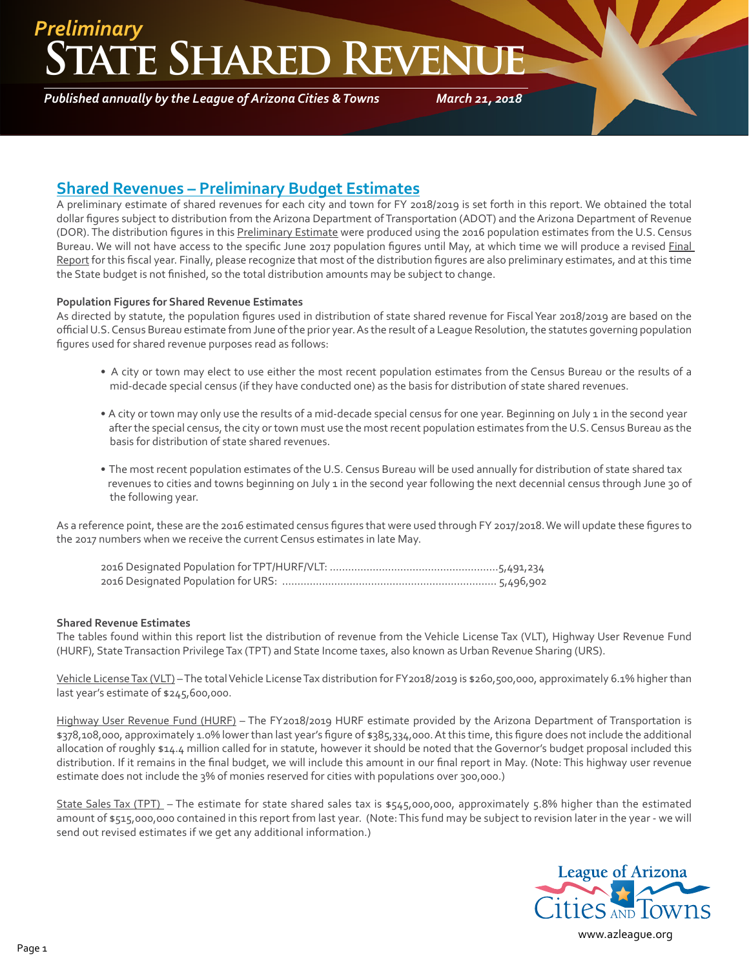### **ATE SHARED REVEN** *Preliminary*

*Published annually by the League of Arizona Cities & Towns*

*March 21, 2018*

### **Shared Revenues – Preliminary Budget Estimates**

A preliminary estimate of shared revenues for each city and town for FY 2018/2019 is set forth in this report. We obtained the total dollar figures subject to distribution from the Arizona Department of Transportation (ADOT) and the Arizona Department of Revenue (DOR). The distribution figures in this Preliminary Estimate were produced using the 2016 population estimates from the U.S. Census Bureau. We will not have access to the specific June 2017 population figures until May, at which time we will produce a revised Final Report for this fiscal year. Finally, please recognize that most of the distribution figures are also preliminary estimates, and at this time the State budget is not finished, so the total distribution amounts may be subject to change.

#### **Population Figures for Shared Revenue Estimates**

As directed by statute, the population figures used in distribution of state shared revenue for Fiscal Year 2018/2019 are based on the official U.S. Census Bureau estimate from June of the prior year. As the result of a League Resolution, the statutes governing population figures used for shared revenue purposes read as follows:

- A city or town may elect to use either the most recent population estimates from the Census Bureau or the results of a mid-decade special census (if they have conducted one) as the basis for distribution of state shared revenues.
- A city or town may only use the results of a mid-decade special census for one year. Beginning on July 1 in the second year after the special census, the city or town must use the most recent population estimates from the U.S. Census Bureau as the basis for distribution of state shared revenues.
- The most recent population estimates of the U.S. Census Bureau will be used annually for distribution of state shared tax revenues to cities and towns beginning on July 1 in the second year following the next decennial census through June 30 of the following year.

As a reference point, these are the 2016 estimated census figures that were used through FY 2017/2018. We will update these figures to the 2017 numbers when we receive the current Census estimates in late May.

#### **Shared Revenue Estimates**

The tables found within this report list the distribution of revenue from the Vehicle License Tax (VLT), Highway User Revenue Fund (HURF), State Transaction Privilege Tax (TPT) and State Income taxes, also known as Urban Revenue Sharing (URS).

Vehicle License Tax (VLT) – The total Vehicle License Tax distribution for FY2018/2019 is \$260,500,000, approximately 6.1% higher than last year's estimate of \$245,600,000.

Highway User Revenue Fund (HURF) – The FY2018/2019 HURF estimate provided by the Arizona Department of Transportation is \$378,108,000, approximately 1.0% lower than last year's figure of \$385,334,000. At this time, this figure does not include the additional allocation of roughly \$14.4 million called for in statute, however it should be noted that the Governor's budget proposal included this distribution. If it remains in the final budget, we will include this amount in our final report in May. (Note: This highway user revenue estimate does not include the 3% of monies reserved for cities with populations over 300,000.)

State Sales Tax (TPT) – The estimate for state shared sales tax is \$545,000,000, approximately 5.8% higher than the estimated amount of \$515,000,000 contained in this report from last year. (Note: This fund may be subject to revision later in the year - we will send out revised estimates if we get any additional information.)



[www.azleague.org](http://www.azleague.org)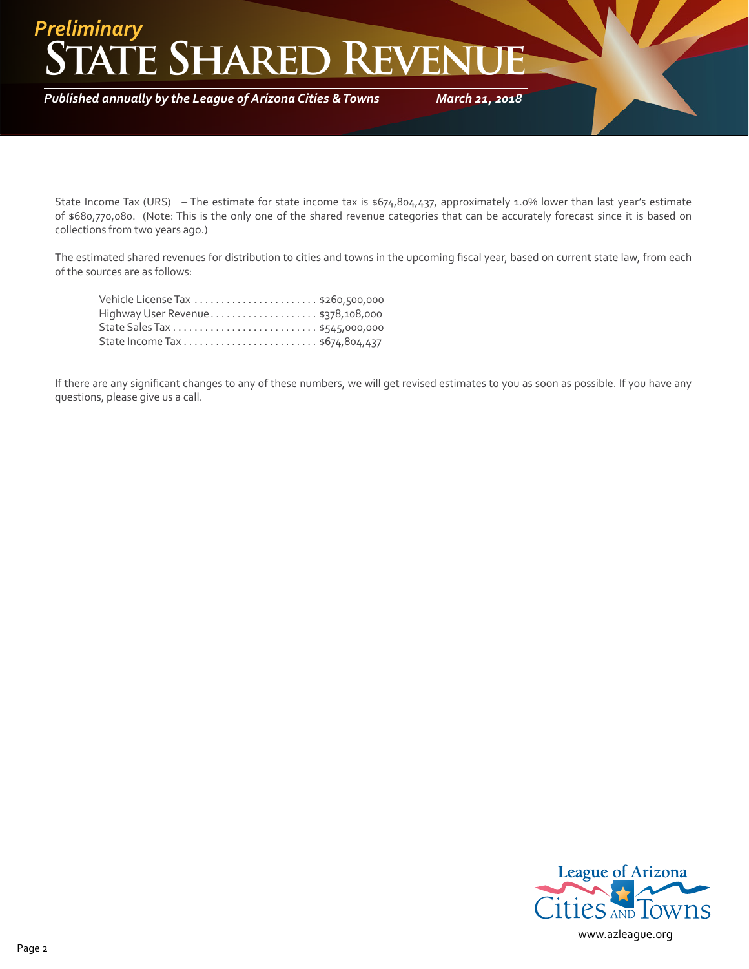## **TE SHARED REVEN** *Preliminary*

*Published annually by the League of Arizona Cities & Towns*

*March 21, 2018*

State Income Tax (URS) – The estimate for state income tax is \$674,804,437, approximately 1.0% lower than last year's estimate of \$680,770,080. (Note: This is the only one of the shared revenue categories that can be accurately forecast since it is based on collections from two years ago.)

The estimated shared revenues for distribution to cities and towns in the upcoming fiscal year, based on current state law, from each of the sources are as follows:

| Highway User Revenue\$378,108,000 |  |
|-----------------------------------|--|
|                                   |  |
|                                   |  |

If there are any significant changes to any of these numbers, we will get revised estimates to you as soon as possible. If you have any questions, please give us a call.

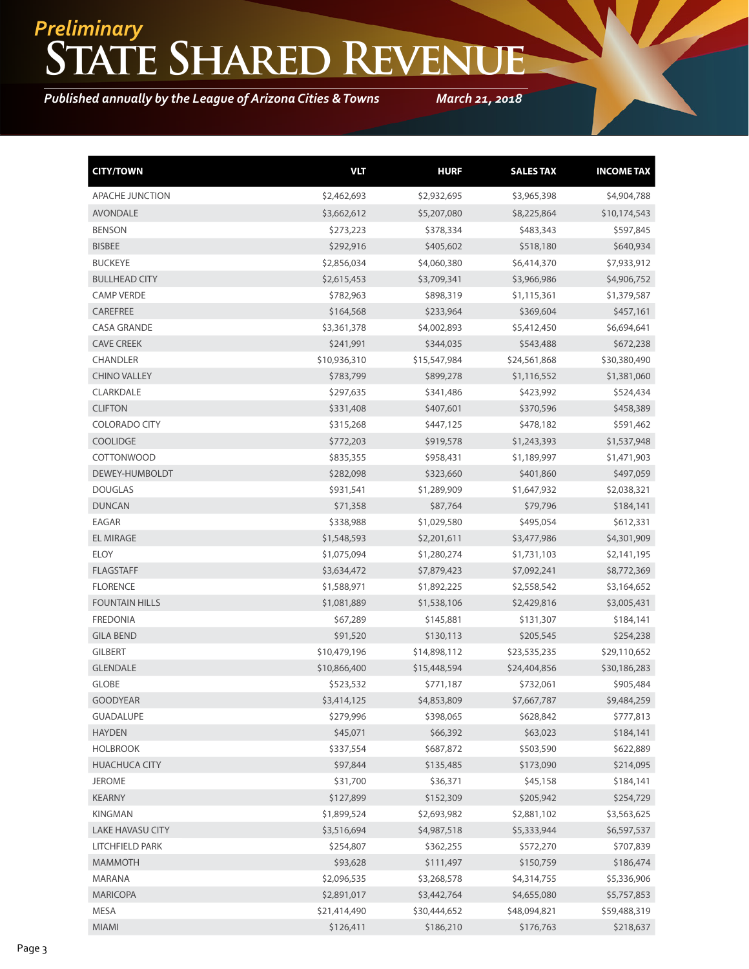# **State Shared Revenue** *Preliminary*

*Published annually by the League of Arizona Cities & Towns*

*March 21, 2018*

| <b>CITY/TOWN</b>        | <b>VLT</b>   | <b>HURF</b>  | <b>SALES TAX</b> | <b>INCOME TAX</b> |
|-------------------------|--------------|--------------|------------------|-------------------|
| APACHE JUNCTION         | \$2,462,693  | \$2,932,695  | \$3,965,398      | \$4,904,788       |
| <b>AVONDALE</b>         | \$3,662,612  | \$5,207,080  | \$8,225,864      | \$10,174,543      |
| <b>BENSON</b>           | \$273,223    | \$378,334    | \$483,343        | \$597,845         |
| <b>BISBEE</b>           | \$292,916    | \$405,602    | \$518,180        | \$640,934         |
| <b>BUCKEYE</b>          | \$2,856,034  | \$4,060,380  | \$6,414,370      | \$7,933,912       |
| <b>BULLHEAD CITY</b>    | \$2,615,453  | \$3,709,341  | \$3,966,986      | \$4,906,752       |
| <b>CAMP VERDE</b>       | \$782,963    | \$898,319    | \$1,115,361      | \$1,379,587       |
| <b>CAREFREE</b>         | \$164,568    | \$233,964    | \$369,604        | \$457,161         |
| <b>CASA GRANDE</b>      | \$3,361,378  | \$4,002,893  | \$5,412,450      | \$6,694,641       |
| <b>CAVE CREEK</b>       | \$241,991    | \$344,035    | \$543,488        | \$672,238         |
| <b>CHANDLER</b>         | \$10,936,310 | \$15,547,984 | \$24,561,868     | \$30,380,490      |
| <b>CHINO VALLEY</b>     | \$783,799    | \$899,278    | \$1,116,552      | \$1,381,060       |
| CLARKDALE               | \$297,635    | \$341,486    | \$423,992        | \$524,434         |
| <b>CLIFTON</b>          | \$331,408    | \$407,601    | \$370,596        | \$458,389         |
| <b>COLORADO CITY</b>    | \$315,268    | \$447,125    | \$478,182        | \$591,462         |
| <b>COOLIDGE</b>         | \$772,203    | \$919,578    | \$1,243,393      | \$1,537,948       |
| COTTONWOOD              | \$835,355    | \$958,431    | \$1,189,997      | \$1,471,903       |
| DEWEY-HUMBOLDT          | \$282,098    | \$323,660    | \$401,860        | \$497,059         |
| <b>DOUGLAS</b>          | \$931,541    | \$1,289,909  | \$1,647,932      | \$2,038,321       |
| <b>DUNCAN</b>           | \$71,358     | \$87,764     | \$79,796         | \$184,141         |
| EAGAR                   | \$338,988    | \$1,029,580  | \$495,054        | \$612,331         |
| <b>EL MIRAGE</b>        | \$1,548,593  | \$2,201,611  | \$3,477,986      | \$4,301,909       |
| <b>ELOY</b>             | \$1,075,094  | \$1,280,274  | \$1,731,103      | \$2,141,195       |
| <b>FLAGSTAFF</b>        | \$3,634,472  | \$7,879,423  | \$7,092,241      | \$8,772,369       |
| <b>FLORENCE</b>         | \$1,588,971  | \$1,892,225  | \$2,558,542      | \$3,164,652       |
| <b>FOUNTAIN HILLS</b>   | \$1,081,889  | \$1,538,106  | \$2,429,816      | \$3,005,431       |
| <b>FREDONIA</b>         | \$67,289     | \$145,881    | \$131,307        | \$184,141         |
| <b>GILA BEND</b>        | \$91,520     | \$130,113    | \$205,545        | \$254,238         |
| <b>GILBERT</b>          | \$10,479,196 | \$14,898,112 | \$23,535,235     | \$29,110,652      |
| <b>GLENDALE</b>         | \$10,866,400 | \$15,448,594 | \$24,404,856     | \$30,186,283      |
| GLOBE                   | \$523,532    | \$771,187    | \$732,061        | \$905,484         |
| <b>GOODYEAR</b>         | \$3,414,125  | \$4,853,809  | \$7,667,787      | \$9,484,259       |
| <b>GUADALUPE</b>        | \$279,996    | \$398,065    | \$628,842        | \$777,813         |
| <b>HAYDEN</b>           | \$45,071     | \$66,392     | \$63,023         | \$184,141         |
| <b>HOLBROOK</b>         | \$337,554    | \$687,872    | \$503,590        | \$622,889         |
| <b>HUACHUCA CITY</b>    | \$97,844     | \$135,485    | \$173,090        | \$214,095         |
| <b>JEROME</b>           | \$31,700     | \$36,371     | \$45,158         | \$184,141         |
| KEARNY                  | \$127,899    | \$152,309    | \$205,942        | \$254,729         |
| <b>KINGMAN</b>          | \$1,899,524  | \$2,693,982  | \$2,881,102      | \$3,563,625       |
| <b>LAKE HAVASU CITY</b> | \$3,516,694  | \$4,987,518  | \$5,333,944      | \$6,597,537       |
| LITCHFIELD PARK         | \$254,807    | \$362,255    | \$572,270        | \$707,839         |
| <b>MAMMOTH</b>          | \$93,628     | \$111,497    | \$150,759        | \$186,474         |
| MARANA                  | \$2,096,535  | \$3,268,578  | \$4,314,755      | \$5,336,906       |
| <b>MARICOPA</b>         | \$2,891,017  | \$3,442,764  | \$4,655,080      | \$5,757,853       |
| MESA                    | \$21,414,490 | \$30,444,652 | \$48,094,821     | \$59,488,319      |
| MIAMI                   | \$126,411    | \$186,210    | \$176,763        | \$218,637         |